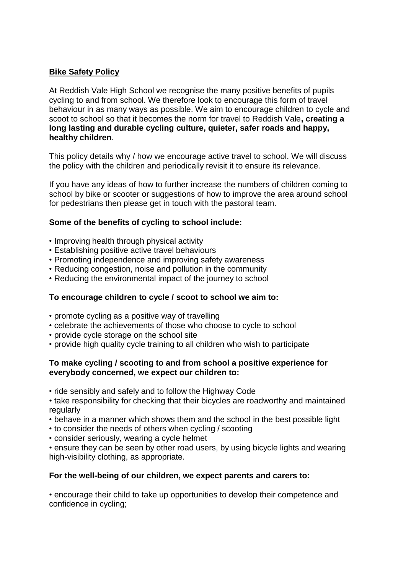# **Bike Safety Policy**

At Reddish Vale High School we recognise the many positive benefits of pupils cycling to and from school. We therefore look to encourage this form of travel behaviour in as many ways as possible. We aim to encourage children to cycle and scoot to school so that it becomes the norm for travel to Reddish Vale**, creating a long lasting and durable cycling culture, quieter, safer roads and happy, healthy children**.

This policy details why / how we encourage active travel to school. We will discuss the policy with the children and periodically revisit it to ensure its relevance.

If you have any ideas of how to further increase the numbers of children coming to school by bike or scooter or suggestions of how to improve the area around school for pedestrians then please get in touch with the pastoral team.

# **Some of the benefits of cycling to school include:**

- Improving health through physical activity
- Establishing positive active travel behaviours
- Promoting independence and improving safety awareness
- Reducing congestion, noise and pollution in the community
- Reducing the environmental impact of the journey to school

### **To encourage children to cycle / scoot to school we aim to:**

- promote cycling as a positive way of travelling
- celebrate the achievements of those who choose to cycle to school
- provide cycle storage on the school site
- provide high quality cycle training to all children who wish to participate

### **To make cycling / scooting to and from school a positive experience for everybody concerned, we expect our children to:**

- ride sensibly and safely and to follow the Highway Code
- take responsibility for checking that their bicycles are roadworthy and maintained regularly
- behave in a manner which shows them and the school in the best possible light
- to consider the needs of others when cycling / scooting
- consider seriously, wearing a cycle helmet

• ensure they can be seen by other road users, by using bicycle lights and wearing high-visibility clothing, as appropriate.

### **For the well-being of our children, we expect parents and carers to:**

• encourage their child to take up opportunities to develop their competence and confidence in cycling;